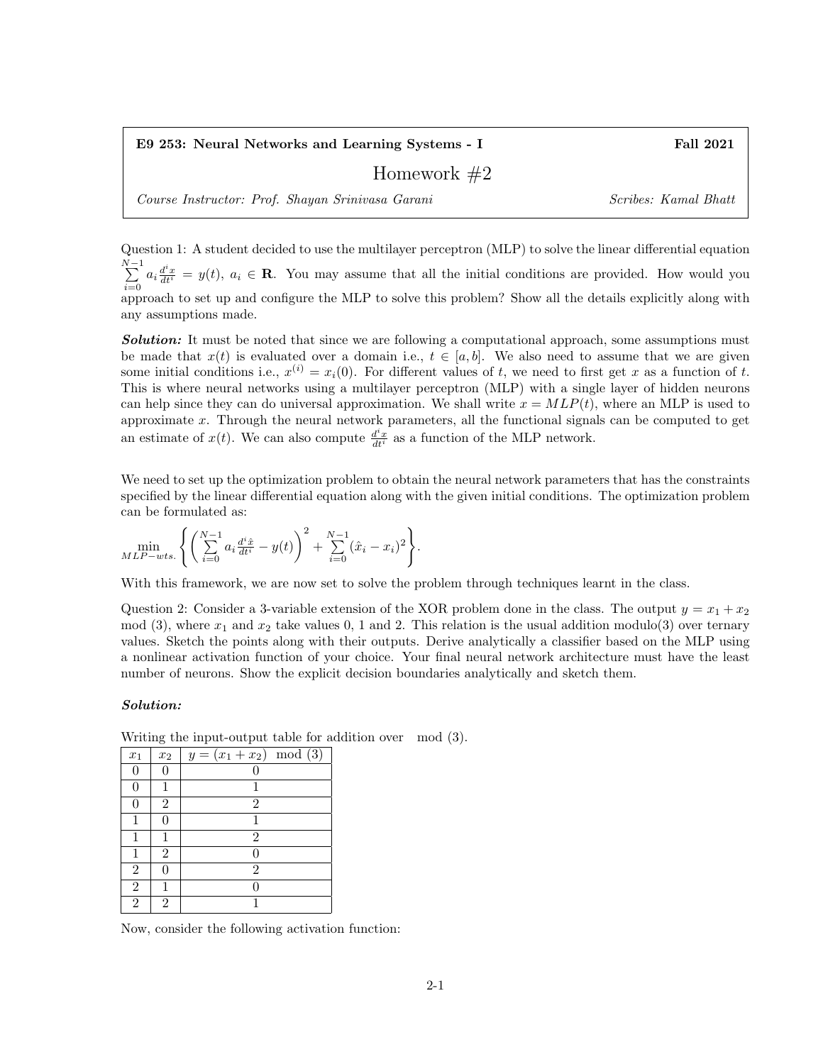E9 253: Neural Networks and Learning Systems - I Fall 2021

## Homework #2

Course Instructor: Prof. Shayan Srinivasa Garani Scribes: Kamal Bhatt

Question 1: A student decided to use the multilayer perceptron (MLP) to solve the linear differential equation  $\sum_{ }^{N-1}$  $\sum_{i=0}^{n} a_i \frac{d^i x}{dt^i} = y(t), a_i \in \mathbb{R}$ . You may assume that all the initial conditions are provided. How would you approach to set up and configure the MLP to solve this problem? Show all the details explicitly along with any assumptions made.

**Solution:** It must be noted that since we are following a computational approach, some assumptions must be made that  $x(t)$  is evaluated over a domain i.e.,  $t \in [a, b]$ . We also need to assume that we are given some initial conditions i.e.,  $x^{(i)} = x_i(0)$ . For different values of t, we need to first get x as a function of t. This is where neural networks using a multilayer perceptron (MLP) with a single layer of hidden neurons can help since they can do universal approximation. We shall write  $x = MLP(t)$ , where an MLP is used to approximate x. Through the neural network parameters, all the functional signals can be computed to get an estimate of  $x(t)$ . We can also compute  $\frac{d^i x}{dt^i}$  as a function of the MLP network.

We need to set up the optimization problem to obtain the neural network parameters that has the constraints specified by the linear differential equation along with the given initial conditions. The optimization problem can be formulated as:

$$
\min_{MLP-wts.} \left\{ \left( \sum_{i=0}^{N-1} a_i \frac{d^i \hat{x}}{dt^i} - y(t) \right)^2 + \sum_{i=0}^{N-1} (\hat{x}_i - x_i)^2 \right\}.
$$

With this framework, we are now set to solve the problem through techniques learnt in the class.

Question 2: Consider a 3-variable extension of the XOR problem done in the class. The output  $y = x_1 + x_2$ mod (3), where  $x_1$  and  $x_2$  take values 0, 1 and 2. This relation is the usual addition modulo(3) over ternary values. Sketch the points along with their outputs. Derive analytically a classifier based on the MLP using a nonlinear activation function of your choice. Your final neural network architecture must have the least number of neurons. Show the explicit decision boundaries analytically and sketch them.

## Solution:

Writing the input-output table for addition over mod (3).

| $x_1$          | $x_2$          | mod(3)<br>$y = (x_1 + x_2)$ |
|----------------|----------------|-----------------------------|
|                | 0              |                             |
| 0              |                |                             |
| 0              | $\overline{2}$ | $\overline{2}$              |
|                | 0              |                             |
|                |                | $\overline{2}$              |
|                | $\overline{2}$ | 0                           |
| $\overline{2}$ | $\Omega$       | $\overline{2}$              |
| $\overline{2}$ |                |                             |
| $\mathfrak{D}$ | $\mathfrak{D}$ |                             |

Now, consider the following activation function: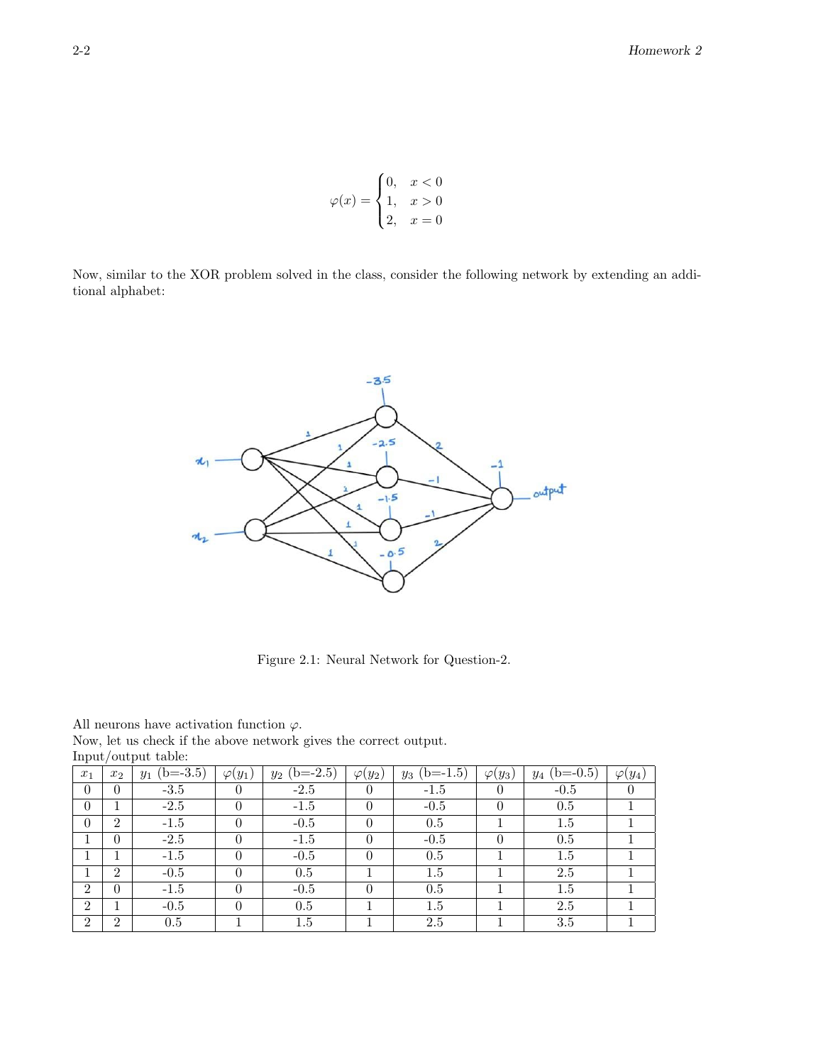$$
\varphi(x) = \begin{cases} 0, & x < 0 \\ 1, & x > 0 \\ 2, & x = 0 \end{cases}
$$

Now, similar to the XOR problem solved in the class, consider the following network by extending an additional alphabet:



Figure 2.1: Neural Network for Question-2.

All neurons have activation function  $\varphi$ .

Now, let us check if the above network gives the correct output. Input/output table:

|                |                             | $\mathbf{r}$        |                |                |                |                     |                |                |                |
|----------------|-----------------------------|---------------------|----------------|----------------|----------------|---------------------|----------------|----------------|----------------|
| $x_1$          | $x_2$                       | $(b=-3.5)$<br>$y_1$ | $\varphi(y_1)$ | $y_2$ (b=-2.5) | $\varphi(y_2)$ | $(b=-1.5)$<br>$y_3$ | $\varphi(y_3)$ | $y_4$ (b=-0.5) | $\varphi(y_4)$ |
| $\theta$       | $\Omega$                    | $-3.5$              | $\Omega$       | $-2.5$         | $\theta$       | $-1.5$              |                | $-0.5$         | $\theta$       |
| $\theta$       |                             | $-2.5$              |                | $-1.5$         | 0              | $-0.5$              |                | 0.5            |                |
| $\Omega$       | $\mathfrak{D}$              | $-1.5$              |                | $-0.5$         | $\theta$       | 0.5                 |                | 1.5            |                |
|                | $\Omega$                    | $-2.5$              |                | $-1.5$         | $\theta$       | $-0.5$              |                | 0.5            |                |
|                |                             | $-1.5$              |                | $-0.5$         | 0              | 0.5                 |                | $1.5\,$        |                |
|                | $\mathcal{D}_{\mathcal{L}}$ | $-0.5$              | $\Omega$       | 0.5            |                | $1.5\,$             |                | 2.5            |                |
| $\overline{2}$ | $\Omega$                    | $-1.5$              | $\Omega$       | $-0.5$         | $\theta$       | 0.5                 |                | 1.5            |                |
| $\overline{2}$ |                             | $-0.5$              |                | 0.5            |                | $1.5\,$             |                | 2.5            |                |
| $\overline{2}$ | $\overline{2}$              | 0.5                 |                | 1.5            |                | 2.5                 |                | 3.5            |                |